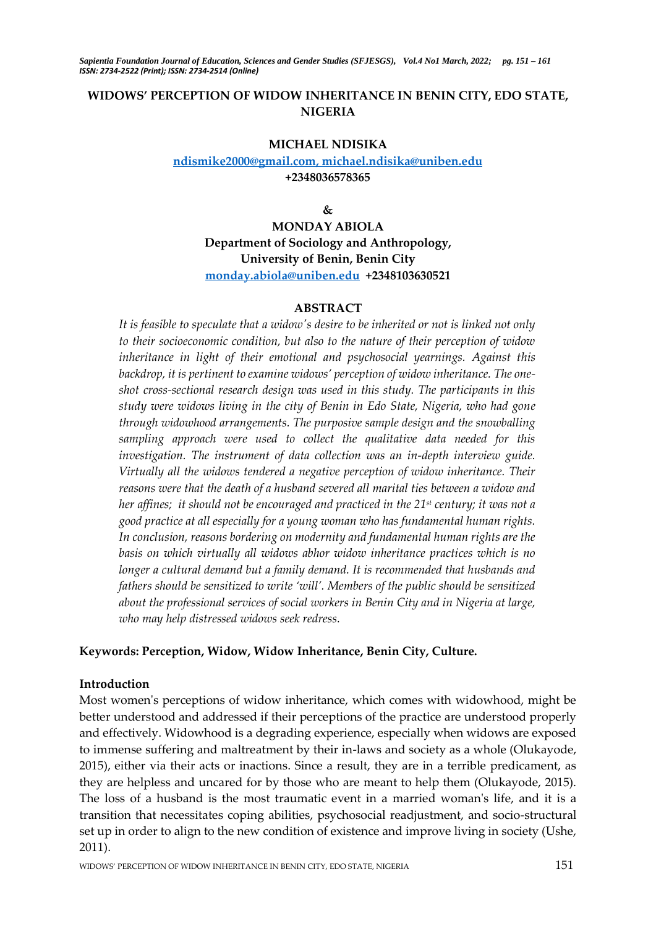# **WIDOWS' PERCEPTION OF WIDOW INHERITANCE IN BENIN CITY, EDO STATE, NIGERIA**

#### **MICHAEL NDISIKA**

# **[ndismike2000@gmail.com, michael.ndisika@uniben.edu](mailto:ndismike2000@gmail.com,%20michael.ndisika@uniben.edu) +2348036578365**

**&**

**MONDAY ABIOLA Department of Sociology and Anthropology, University of Benin, Benin City [monday.abiola@uniben.edu](mailto:monday.abiola@uniben.edu) +2348103630521**

## **ABSTRACT**

*It is feasible to speculate that a widow's desire to be inherited or not is linked not only to their socioeconomic condition, but also to the nature of their perception of widow inheritance in light of their emotional and psychosocial yearnings. Against this backdrop, it is pertinent to examine widows' perception of widow inheritance. The oneshot cross-sectional research design was used in this study. The participants in this study were widows living in the city of Benin in Edo State, Nigeria, who had gone through widowhood arrangements. The purposive sample design and the snowballing sampling approach were used to collect the qualitative data needed for this investigation. The instrument of data collection was an in-depth interview guide. Virtually all the widows tendered a negative perception of widow inheritance. Their reasons were that the death of a husband severed all marital ties between a widow and her affines; it should not be encouraged and practiced in the 21st century; it was not a good practice at all especially for a young woman who has fundamental human rights. In conclusion, reasons bordering on modernity and fundamental human rights are the basis on which virtually all widows abhor widow inheritance practices which is no longer a cultural demand but a family demand. It is recommended that husbands and fathers should be sensitized to write 'will'. Members of the public should be sensitized about the professional services of social workers in Benin City and in Nigeria at large, who may help distressed widows seek redress.* 

## **Keywords: Perception, Widow, Widow Inheritance, Benin City, Culture.**

## **Introduction**

Most women's perceptions of widow inheritance, which comes with widowhood, might be better understood and addressed if their perceptions of the practice are understood properly and effectively. Widowhood is a degrading experience, especially when widows are exposed to immense suffering and maltreatment by their in-laws and society as a whole (Olukayode, 2015), either via their acts or inactions. Since a result, they are in a terrible predicament, as they are helpless and uncared for by those who are meant to help them (Olukayode, 2015). The loss of a husband is the most traumatic event in a married woman's life, and it is a transition that necessitates coping abilities, psychosocial readjustment, and socio-structural set up in order to align to the new condition of existence and improve living in society (Ushe, 2011).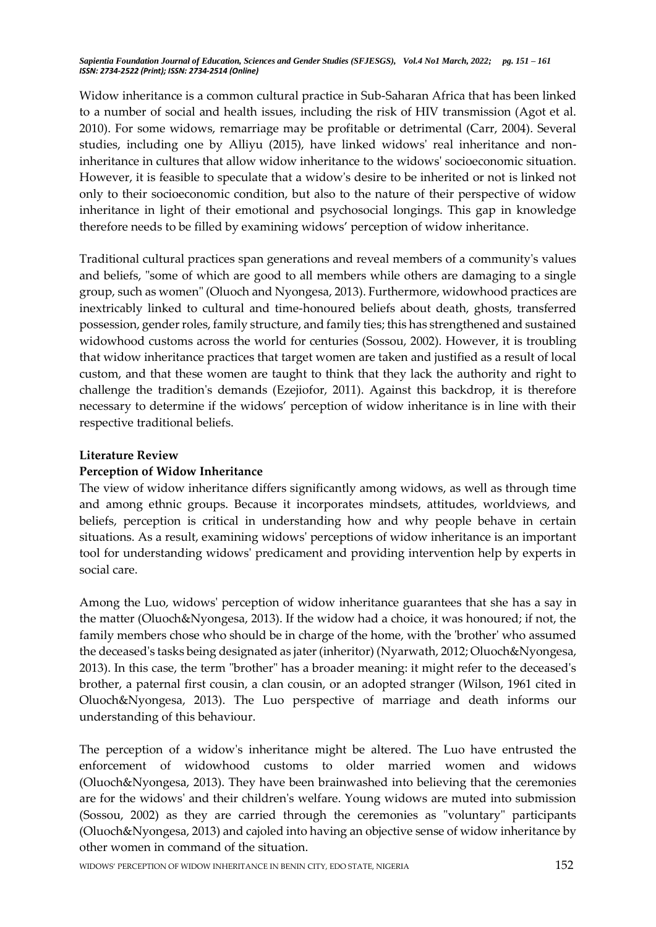Widow inheritance is a common cultural practice in Sub-Saharan Africa that has been linked to a number of social and health issues, including the risk of HIV transmission (Agot et al. 2010). For some widows, remarriage may be profitable or detrimental (Carr, 2004). Several studies, including one by Alliyu (2015), have linked widows' real inheritance and noninheritance in cultures that allow widow inheritance to the widows' socioeconomic situation. However, it is feasible to speculate that a widow's desire to be inherited or not is linked not only to their socioeconomic condition, but also to the nature of their perspective of widow inheritance in light of their emotional and psychosocial longings. This gap in knowledge therefore needs to be filled by examining widows' perception of widow inheritance.

Traditional cultural practices span generations and reveal members of a community's values and beliefs, "some of which are good to all members while others are damaging to a single group, such as women" (Oluoch and Nyongesa, 2013). Furthermore, widowhood practices are inextricably linked to cultural and time-honoured beliefs about death, ghosts, transferred possession, gender roles, family structure, and family ties; this has strengthened and sustained widowhood customs across the world for centuries (Sossou, 2002). However, it is troubling that widow inheritance practices that target women are taken and justified as a result of local custom, and that these women are taught to think that they lack the authority and right to challenge the tradition's demands (Ezejiofor, 2011). Against this backdrop, it is therefore necessary to determine if the widows' perception of widow inheritance is in line with their respective traditional beliefs.

## **Literature Review**

# **Perception of Widow Inheritance**

The view of widow inheritance differs significantly among widows, as well as through time and among ethnic groups. Because it incorporates mindsets, attitudes, worldviews, and beliefs, perception is critical in understanding how and why people behave in certain situations. As a result, examining widows' perceptions of widow inheritance is an important tool for understanding widows' predicament and providing intervention help by experts in social care.

Among the Luo, widows' perception of widow inheritance guarantees that she has a say in the matter (Oluoch&Nyongesa, 2013). If the widow had a choice, it was honoured; if not, the family members chose who should be in charge of the home, with the 'brother' who assumed the deceased's tasks being designated as jater (inheritor) (Nyarwath, 2012; Oluoch&Nyongesa, 2013). In this case, the term "brother" has a broader meaning: it might refer to the deceased's brother, a paternal first cousin, a clan cousin, or an adopted stranger (Wilson, 1961 cited in Oluoch&Nyongesa, 2013). The Luo perspective of marriage and death informs our understanding of this behaviour.

The perception of a widow's inheritance might be altered. The Luo have entrusted the enforcement of widowhood customs to older married women and widows (Oluoch&Nyongesa, 2013). They have been brainwashed into believing that the ceremonies are for the widows' and their children's welfare. Young widows are muted into submission (Sossou, 2002) as they are carried through the ceremonies as "voluntary" participants (Oluoch&Nyongesa, 2013) and cajoled into having an objective sense of widow inheritance by other women in command of the situation.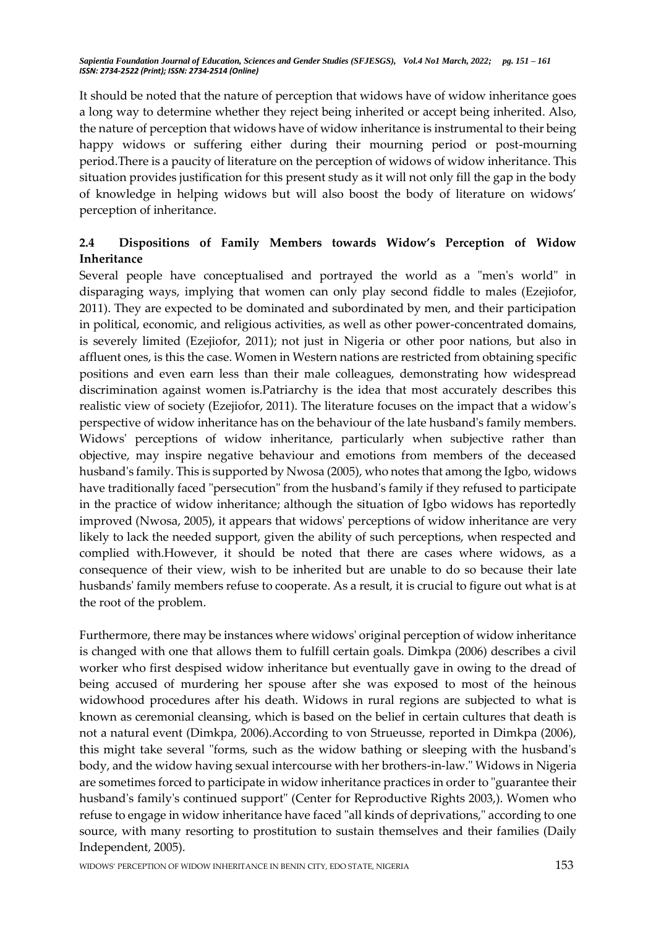It should be noted that the nature of perception that widows have of widow inheritance goes a long way to determine whether they reject being inherited or accept being inherited. Also, the nature of perception that widows have of widow inheritance is instrumental to their being happy widows or suffering either during their mourning period or post-mourning period.There is a paucity of literature on the perception of widows of widow inheritance. This situation provides justification for this present study as it will not only fill the gap in the body of knowledge in helping widows but will also boost the body of literature on widows' perception of inheritance.

# **2.4 Dispositions of Family Members towards Widow's Perception of Widow Inheritance**

Several people have conceptualised and portrayed the world as a "men's world" in disparaging ways, implying that women can only play second fiddle to males (Ezejiofor, 2011). They are expected to be dominated and subordinated by men, and their participation in political, economic, and religious activities, as well as other power-concentrated domains, is severely limited (Ezejiofor, 2011); not just in Nigeria or other poor nations, but also in affluent ones, is this the case. Women in Western nations are restricted from obtaining specific positions and even earn less than their male colleagues, demonstrating how widespread discrimination against women is.Patriarchy is the idea that most accurately describes this realistic view of society (Ezejiofor, 2011). The literature focuses on the impact that a widow's perspective of widow inheritance has on the behaviour of the late husband's family members. Widows' perceptions of widow inheritance, particularly when subjective rather than objective, may inspire negative behaviour and emotions from members of the deceased husband's family. This is supported by Nwosa (2005), who notes that among the Igbo, widows have traditionally faced "persecution" from the husband's family if they refused to participate in the practice of widow inheritance; although the situation of Igbo widows has reportedly improved (Nwosa, 2005), it appears that widows' perceptions of widow inheritance are very likely to lack the needed support, given the ability of such perceptions, when respected and complied with.However, it should be noted that there are cases where widows, as a consequence of their view, wish to be inherited but are unable to do so because their late husbands' family members refuse to cooperate. As a result, it is crucial to figure out what is at the root of the problem.

Furthermore, there may be instances where widows' original perception of widow inheritance is changed with one that allows them to fulfill certain goals. Dimkpa (2006) describes a civil worker who first despised widow inheritance but eventually gave in owing to the dread of being accused of murdering her spouse after she was exposed to most of the heinous widowhood procedures after his death. Widows in rural regions are subjected to what is known as ceremonial cleansing, which is based on the belief in certain cultures that death is not a natural event (Dimkpa, 2006).According to von Strueusse, reported in Dimkpa (2006), this might take several "forms, such as the widow bathing or sleeping with the husband's body, and the widow having sexual intercourse with her brothers-in-law." Widows in Nigeria are sometimes forced to participate in widow inheritance practices in order to "guarantee their husband's family's continued support" (Center for Reproductive Rights 2003,). Women who refuse to engage in widow inheritance have faced "all kinds of deprivations," according to one source, with many resorting to prostitution to sustain themselves and their families (Daily Independent, 2005).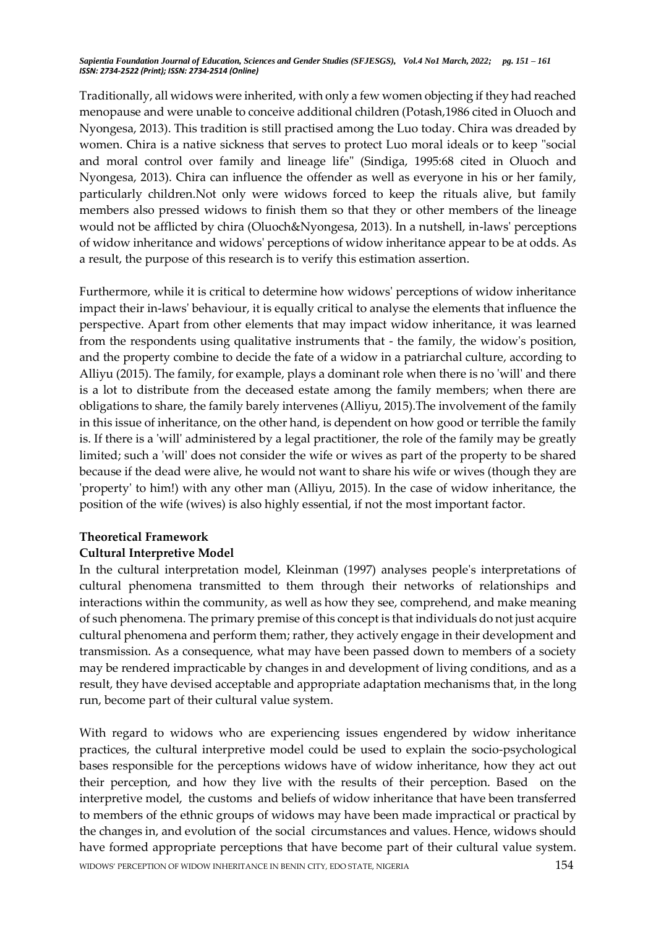Traditionally, all widows were inherited, with only a few women objecting if they had reached menopause and were unable to conceive additional children (Potash,1986 cited in Oluoch and Nyongesa, 2013). This tradition is still practised among the Luo today. Chira was dreaded by women. Chira is a native sickness that serves to protect Luo moral ideals or to keep "social and moral control over family and lineage life" (Sindiga, 1995:68 cited in Oluoch and Nyongesa, 2013). Chira can influence the offender as well as everyone in his or her family, particularly children.Not only were widows forced to keep the rituals alive, but family members also pressed widows to finish them so that they or other members of the lineage would not be afflicted by chira (Oluoch&Nyongesa, 2013). In a nutshell, in-laws' perceptions of widow inheritance and widows' perceptions of widow inheritance appear to be at odds. As a result, the purpose of this research is to verify this estimation assertion.

Furthermore, while it is critical to determine how widows' perceptions of widow inheritance impact their in-laws' behaviour, it is equally critical to analyse the elements that influence the perspective. Apart from other elements that may impact widow inheritance, it was learned from the respondents using qualitative instruments that - the family, the widow's position, and the property combine to decide the fate of a widow in a patriarchal culture, according to Alliyu (2015). The family, for example, plays a dominant role when there is no 'will' and there is a lot to distribute from the deceased estate among the family members; when there are obligations to share, the family barely intervenes (Alliyu, 2015).The involvement of the family in this issue of inheritance, on the other hand, is dependent on how good or terrible the family is. If there is a 'will' administered by a legal practitioner, the role of the family may be greatly limited; such a 'will' does not consider the wife or wives as part of the property to be shared because if the dead were alive, he would not want to share his wife or wives (though they are 'property' to him!) with any other man (Alliyu, 2015). In the case of widow inheritance, the position of the wife (wives) is also highly essential, if not the most important factor.

## **Theoretical Framework**

## **Cultural Interpretive Model**

In the cultural interpretation model, Kleinman (1997) analyses people's interpretations of cultural phenomena transmitted to them through their networks of relationships and interactions within the community, as well as how they see, comprehend, and make meaning of such phenomena. The primary premise of this concept is that individuals do not just acquire cultural phenomena and perform them; rather, they actively engage in their development and transmission. As a consequence, what may have been passed down to members of a society may be rendered impracticable by changes in and development of living conditions, and as a result, they have devised acceptable and appropriate adaptation mechanisms that, in the long run, become part of their cultural value system.

WIDOWS' PERCEPTION OF WIDOW INHERITANCE IN BENIN CITY, EDO STATE, NIGERIA 154 With regard to widows who are experiencing issues engendered by widow inheritance practices, the cultural interpretive model could be used to explain the socio-psychological bases responsible for the perceptions widows have of widow inheritance, how they act out their perception, and how they live with the results of their perception. Based on the interpretive model, the customs and beliefs of widow inheritance that have been transferred to members of the ethnic groups of widows may have been made impractical or practical by the changes in, and evolution of the social circumstances and values. Hence, widows should have formed appropriate perceptions that have become part of their cultural value system.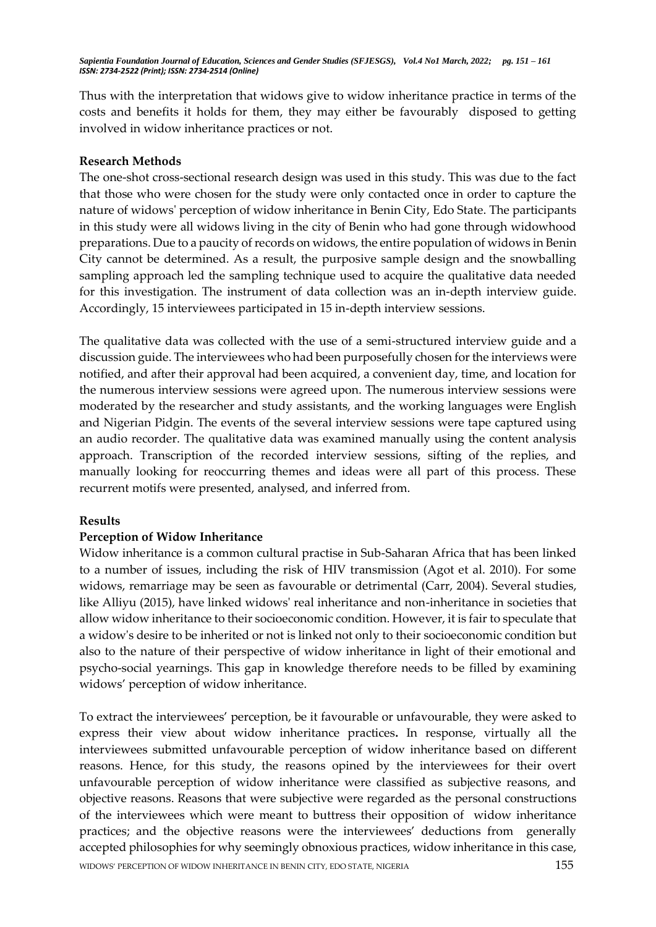Thus with the interpretation that widows give to widow inheritance practice in terms of the costs and benefits it holds for them, they may either be favourably disposed to getting involved in widow inheritance practices or not.

## **Research Methods**

The one-shot cross-sectional research design was used in this study. This was due to the fact that those who were chosen for the study were only contacted once in order to capture the nature of widows' perception of widow inheritance in Benin City, Edo State. The participants in this study were all widows living in the city of Benin who had gone through widowhood preparations. Due to a paucity of records on widows, the entire population of widows in Benin City cannot be determined. As a result, the purposive sample design and the snowballing sampling approach led the sampling technique used to acquire the qualitative data needed for this investigation. The instrument of data collection was an in-depth interview guide. Accordingly, 15 interviewees participated in 15 in-depth interview sessions.

The qualitative data was collected with the use of a semi-structured interview guide and a discussion guide. The interviewees who had been purposefully chosen for the interviews were notified, and after their approval had been acquired, a convenient day, time, and location for the numerous interview sessions were agreed upon. The numerous interview sessions were moderated by the researcher and study assistants, and the working languages were English and Nigerian Pidgin. The events of the several interview sessions were tape captured using an audio recorder. The qualitative data was examined manually using the content analysis approach. Transcription of the recorded interview sessions, sifting of the replies, and manually looking for reoccurring themes and ideas were all part of this process. These recurrent motifs were presented, analysed, and inferred from.

# **Results**

# **Perception of Widow Inheritance**

Widow inheritance is a common cultural practise in Sub-Saharan Africa that has been linked to a number of issues, including the risk of HIV transmission (Agot et al. 2010). For some widows, remarriage may be seen as favourable or detrimental (Carr, 2004). Several studies, like Alliyu (2015), have linked widows' real inheritance and non-inheritance in societies that allow widow inheritance to their socioeconomic condition. However, it is fair to speculate that a widow's desire to be inherited or not is linked not only to their socioeconomic condition but also to the nature of their perspective of widow inheritance in light of their emotional and psycho-social yearnings. This gap in knowledge therefore needs to be filled by examining widows' perception of widow inheritance.

WIDOWS' PERCEPTION OF WIDOW INHERITANCE IN BENIN CITY, EDO STATE, NIGERIA 155 To extract the interviewees' perception, be it favourable or unfavourable, they were asked to express their view about widow inheritance practices**.** In response, virtually all the interviewees submitted unfavourable perception of widow inheritance based on different reasons. Hence, for this study, the reasons opined by the interviewees for their overt unfavourable perception of widow inheritance were classified as subjective reasons, and objective reasons. Reasons that were subjective were regarded as the personal constructions of the interviewees which were meant to buttress their opposition of widow inheritance practices; and the objective reasons were the interviewees' deductions from generally accepted philosophies for why seemingly obnoxious practices, widow inheritance in this case,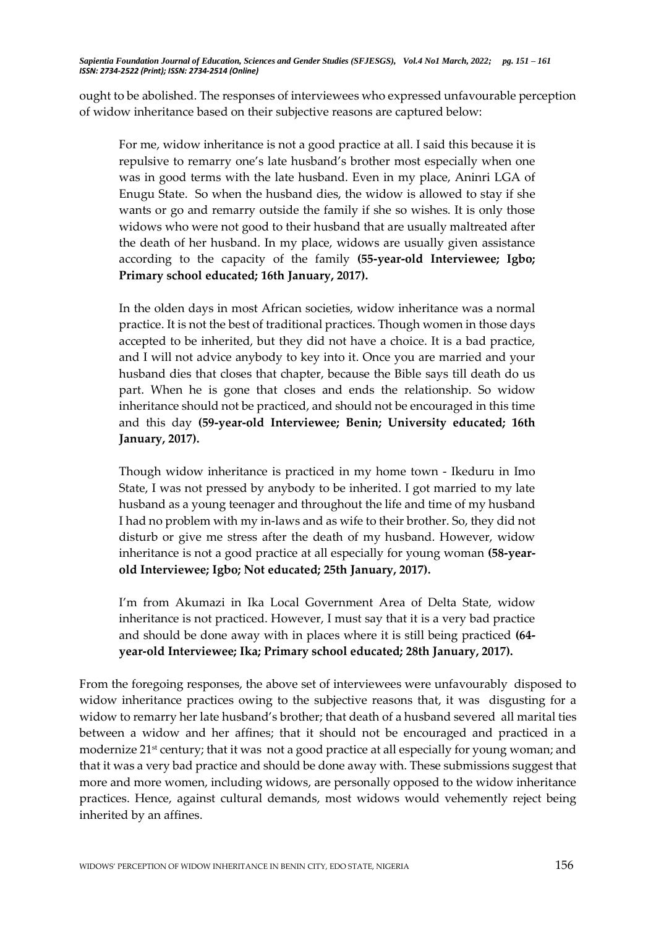ought to be abolished. The responses of interviewees who expressed unfavourable perception of widow inheritance based on their subjective reasons are captured below:

For me, widow inheritance is not a good practice at all. I said this because it is repulsive to remarry one's late husband's brother most especially when one was in good terms with the late husband. Even in my place, Aninri LGA of Enugu State. So when the husband dies, the widow is allowed to stay if she wants or go and remarry outside the family if she so wishes. It is only those widows who were not good to their husband that are usually maltreated after the death of her husband. In my place, widows are usually given assistance according to the capacity of the family **(55-year-old Interviewee; Igbo; Primary school educated; 16th January, 2017).**

In the olden days in most African societies, widow inheritance was a normal practice. It is not the best of traditional practices. Though women in those days accepted to be inherited, but they did not have a choice. It is a bad practice, and I will not advice anybody to key into it. Once you are married and your husband dies that closes that chapter, because the Bible says till death do us part. When he is gone that closes and ends the relationship. So widow inheritance should not be practiced, and should not be encouraged in this time and this day **(59-year-old Interviewee; Benin; University educated; 16th January, 2017).**

Though widow inheritance is practiced in my home town - Ikeduru in Imo State, I was not pressed by anybody to be inherited. I got married to my late husband as a young teenager and throughout the life and time of my husband I had no problem with my in-laws and as wife to their brother. So, they did not disturb or give me stress after the death of my husband. However, widow inheritance is not a good practice at all especially for young woman **(58-yearold Interviewee; Igbo; Not educated; 25th January, 2017).**

I'm from Akumazi in Ika Local Government Area of Delta State, widow inheritance is not practiced. However, I must say that it is a very bad practice and should be done away with in places where it is still being practiced **(64 year-old Interviewee; Ika; Primary school educated; 28th January, 2017).**

From the foregoing responses, the above set of interviewees were unfavourably disposed to widow inheritance practices owing to the subjective reasons that, it was disgusting for a widow to remarry her late husband's brother; that death of a husband severed all marital ties between a widow and her affines; that it should not be encouraged and practiced in a modernize 21<sup>st</sup> century; that it was not a good practice at all especially for young woman; and that it was a very bad practice and should be done away with. These submissions suggest that more and more women, including widows, are personally opposed to the widow inheritance practices. Hence, against cultural demands, most widows would vehemently reject being inherited by an affines.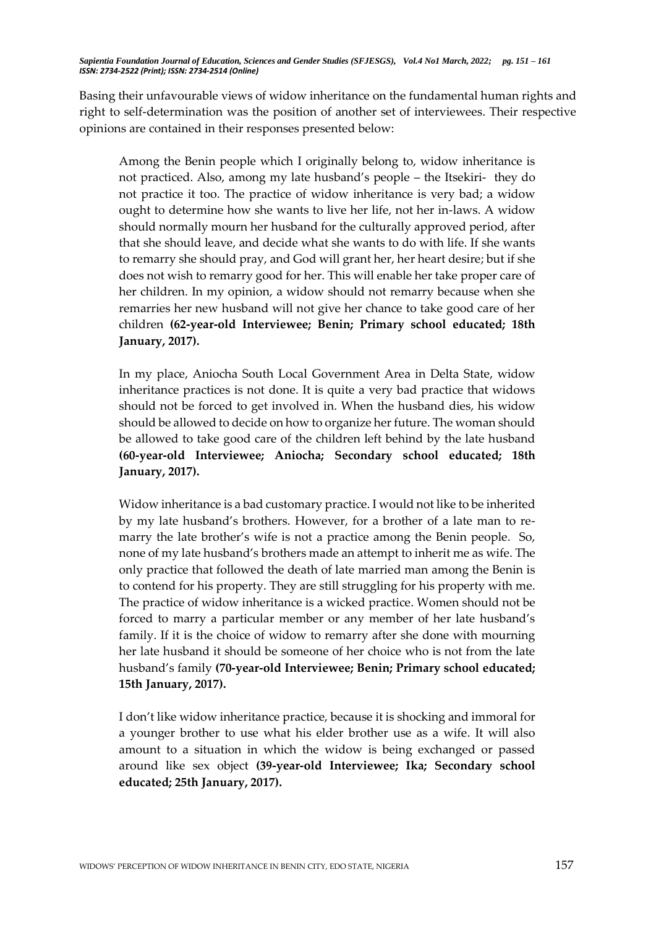Basing their unfavourable views of widow inheritance on the fundamental human rights and right to self-determination was the position of another set of interviewees. Their respective opinions are contained in their responses presented below:

Among the Benin people which I originally belong to, widow inheritance is not practiced. Also, among my late husband's people – the Itsekiri- they do not practice it too. The practice of widow inheritance is very bad; a widow ought to determine how she wants to live her life, not her in-laws. A widow should normally mourn her husband for the culturally approved period, after that she should leave, and decide what she wants to do with life. If she wants to remarry she should pray, and God will grant her, her heart desire; but if she does not wish to remarry good for her. This will enable her take proper care of her children. In my opinion, a widow should not remarry because when she remarries her new husband will not give her chance to take good care of her children **(62-year-old Interviewee; Benin; Primary school educated; 18th January, 2017).**

In my place, Aniocha South Local Government Area in Delta State, widow inheritance practices is not done. It is quite a very bad practice that widows should not be forced to get involved in. When the husband dies, his widow should be allowed to decide on how to organize her future. The woman should be allowed to take good care of the children left behind by the late husband **(60-year-old Interviewee; Aniocha; Secondary school educated; 18th January, 2017).**

Widow inheritance is a bad customary practice. I would not like to be inherited by my late husband's brothers. However, for a brother of a late man to remarry the late brother's wife is not a practice among the Benin people. So, none of my late husband's brothers made an attempt to inherit me as wife. The only practice that followed the death of late married man among the Benin is to contend for his property. They are still struggling for his property with me. The practice of widow inheritance is a wicked practice. Women should not be forced to marry a particular member or any member of her late husband's family. If it is the choice of widow to remarry after she done with mourning her late husband it should be someone of her choice who is not from the late husband's family **(70-year-old Interviewee; Benin; Primary school educated; 15th January, 2017).**

I don't like widow inheritance practice, because it is shocking and immoral for a younger brother to use what his elder brother use as a wife. It will also amount to a situation in which the widow is being exchanged or passed around like sex object **(39-year-old Interviewee; Ika; Secondary school educated; 25th January, 2017).**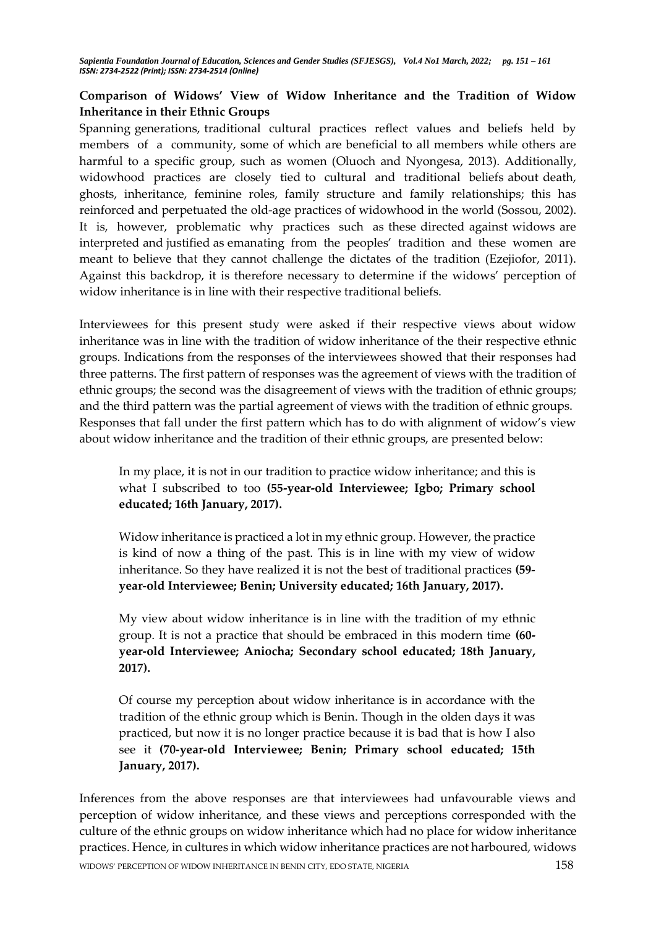# **Comparison of Widows' View of Widow Inheritance and the Tradition of Widow Inheritance in their Ethnic Groups**

Spanning generations, traditional cultural practices reflect values and beliefs held by members of a community, some of which are beneficial to all members while others are harmful to a specific group, such as women (Oluoch and Nyongesa, 2013). Additionally, widowhood practices are closely tied to cultural and traditional beliefs about death, ghosts, inheritance, feminine roles, family structure and family relationships; this has reinforced and perpetuated the old-age practices of widowhood in the world (Sossou, 2002). It is, however, problematic why practices such as these directed against widows are interpreted and justified as emanating from the peoples' tradition and these women are meant to believe that they cannot challenge the dictates of the tradition (Ezejiofor, 2011). Against this backdrop, it is therefore necessary to determine if the widows' perception of widow inheritance is in line with their respective traditional beliefs.

Interviewees for this present study were asked if their respective views about widow inheritance was in line with the tradition of widow inheritance of the their respective ethnic groups. Indications from the responses of the interviewees showed that their responses had three patterns. The first pattern of responses was the agreement of views with the tradition of ethnic groups; the second was the disagreement of views with the tradition of ethnic groups; and the third pattern was the partial agreement of views with the tradition of ethnic groups. Responses that fall under the first pattern which has to do with alignment of widow's view about widow inheritance and the tradition of their ethnic groups, are presented below:

In my place, it is not in our tradition to practice widow inheritance; and this is what I subscribed to too **(55-year-old Interviewee; Igbo; Primary school educated; 16th January, 2017).**

Widow inheritance is practiced a lot in my ethnic group. However, the practice is kind of now a thing of the past. This is in line with my view of widow inheritance. So they have realized it is not the best of traditional practices **(59 year-old Interviewee; Benin; University educated; 16th January, 2017).**

My view about widow inheritance is in line with the tradition of my ethnic group. It is not a practice that should be embraced in this modern time **(60 year-old Interviewee; Aniocha; Secondary school educated; 18th January, 2017).**

Of course my perception about widow inheritance is in accordance with the tradition of the ethnic group which is Benin. Though in the olden days it was practiced, but now it is no longer practice because it is bad that is how I also see it **(70-year-old Interviewee; Benin; Primary school educated; 15th January, 2017).**

WIDOWS' PERCEPTION OF WIDOW INHERITANCE IN BENIN CITY, EDO STATE, NIGERIA 158 Inferences from the above responses are that interviewees had unfavourable views and perception of widow inheritance, and these views and perceptions corresponded with the culture of the ethnic groups on widow inheritance which had no place for widow inheritance practices. Hence, in cultures in which widow inheritance practices are not harboured, widows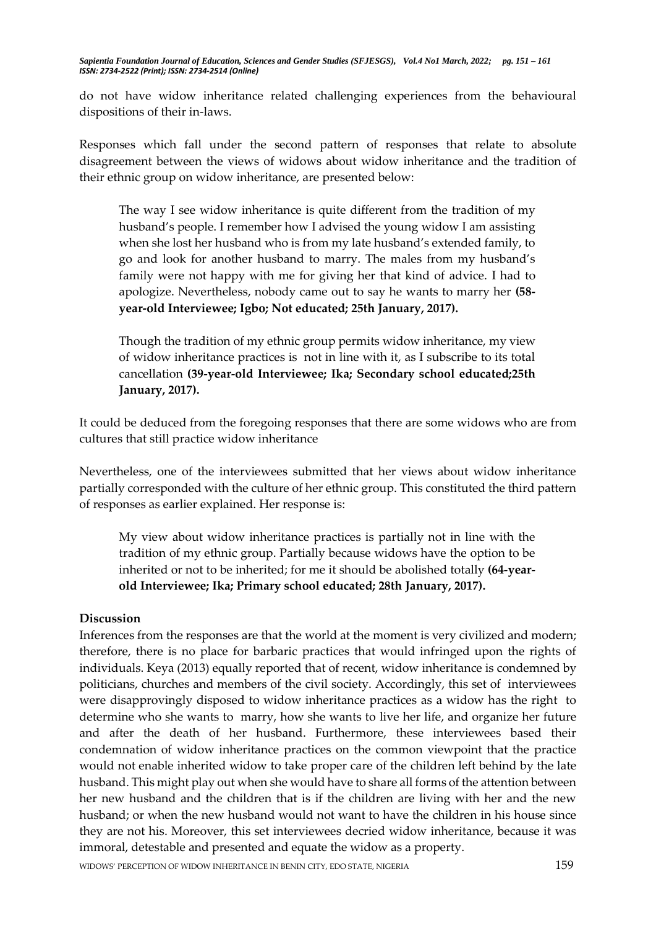do not have widow inheritance related challenging experiences from the behavioural dispositions of their in-laws.

Responses which fall under the second pattern of responses that relate to absolute disagreement between the views of widows about widow inheritance and the tradition of their ethnic group on widow inheritance, are presented below:

The way I see widow inheritance is quite different from the tradition of my husband's people. I remember how I advised the young widow I am assisting when she lost her husband who is from my late husband's extended family, to go and look for another husband to marry. The males from my husband's family were not happy with me for giving her that kind of advice. I had to apologize. Nevertheless, nobody came out to say he wants to marry her **(58 year-old Interviewee; Igbo; Not educated; 25th January, 2017).**

Though the tradition of my ethnic group permits widow inheritance, my view of widow inheritance practices is not in line with it, as I subscribe to its total cancellation **(39-year-old Interviewee; Ika; Secondary school educated;25th January, 2017).**

It could be deduced from the foregoing responses that there are some widows who are from cultures that still practice widow inheritance

Nevertheless, one of the interviewees submitted that her views about widow inheritance partially corresponded with the culture of her ethnic group. This constituted the third pattern of responses as earlier explained. Her response is:

My view about widow inheritance practices is partially not in line with the tradition of my ethnic group. Partially because widows have the option to be inherited or not to be inherited; for me it should be abolished totally **(64-yearold Interviewee; Ika; Primary school educated; 28th January, 2017).**

#### **Discussion**

Inferences from the responses are that the world at the moment is very civilized and modern; therefore, there is no place for barbaric practices that would infringed upon the rights of individuals. Keya (2013) equally reported that of recent, widow inheritance is condemned by politicians, churches and members of the civil society. Accordingly, this set of interviewees were disapprovingly disposed to widow inheritance practices as a widow has the right to determine who she wants to marry, how she wants to live her life, and organize her future and after the death of her husband. Furthermore, these interviewees based their condemnation of widow inheritance practices on the common viewpoint that the practice would not enable inherited widow to take proper care of the children left behind by the late husband. This might play out when she would have to share all forms of the attention between her new husband and the children that is if the children are living with her and the new husband; or when the new husband would not want to have the children in his house since they are not his. Moreover, this set interviewees decried widow inheritance, because it was immoral, detestable and presented and equate the widow as a property.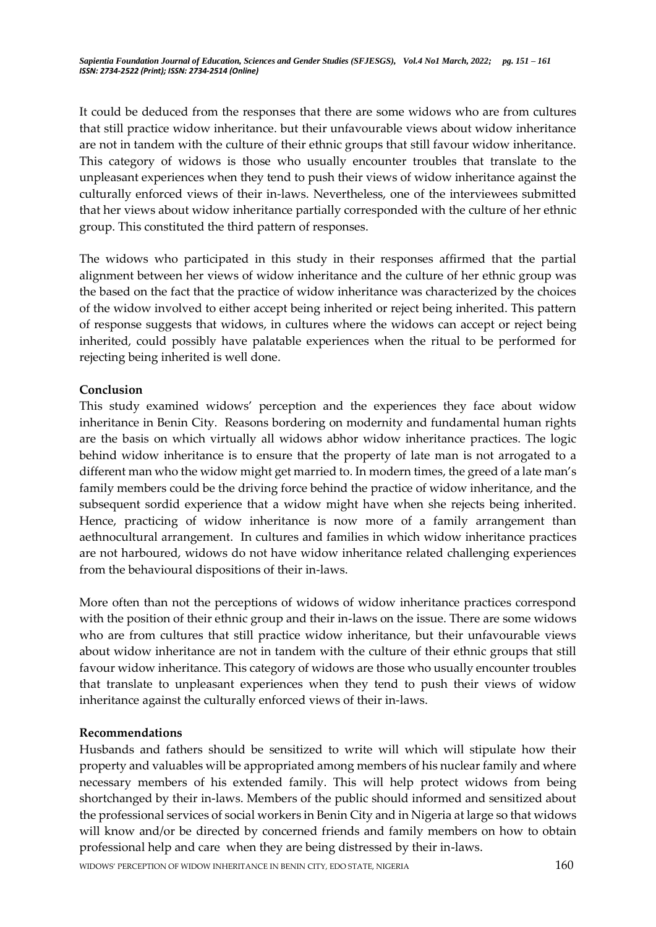It could be deduced from the responses that there are some widows who are from cultures that still practice widow inheritance. but their unfavourable views about widow inheritance are not in tandem with the culture of their ethnic groups that still favour widow inheritance. This category of widows is those who usually encounter troubles that translate to the unpleasant experiences when they tend to push their views of widow inheritance against the culturally enforced views of their in-laws. Nevertheless, one of the interviewees submitted that her views about widow inheritance partially corresponded with the culture of her ethnic group. This constituted the third pattern of responses.

The widows who participated in this study in their responses affirmed that the partial alignment between her views of widow inheritance and the culture of her ethnic group was the based on the fact that the practice of widow inheritance was characterized by the choices of the widow involved to either accept being inherited or reject being inherited. This pattern of response suggests that widows, in cultures where the widows can accept or reject being inherited, could possibly have palatable experiences when the ritual to be performed for rejecting being inherited is well done.

## **Conclusion**

This study examined widows' perception and the experiences they face about widow inheritance in Benin City. Reasons bordering on modernity and fundamental human rights are the basis on which virtually all widows abhor widow inheritance practices. The logic behind widow inheritance is to ensure that the property of late man is not arrogated to a different man who the widow might get married to. In modern times, the greed of a late man's family members could be the driving force behind the practice of widow inheritance, and the subsequent sordid experience that a widow might have when she rejects being inherited. Hence, practicing of widow inheritance is now more of a family arrangement than aethnocultural arrangement. In cultures and families in which widow inheritance practices are not harboured, widows do not have widow inheritance related challenging experiences from the behavioural dispositions of their in-laws.

More often than not the perceptions of widows of widow inheritance practices correspond with the position of their ethnic group and their in-laws on the issue. There are some widows who are from cultures that still practice widow inheritance, but their unfavourable views about widow inheritance are not in tandem with the culture of their ethnic groups that still favour widow inheritance. This category of widows are those who usually encounter troubles that translate to unpleasant experiences when they tend to push their views of widow inheritance against the culturally enforced views of their in-laws.

# **Recommendations**

Husbands and fathers should be sensitized to write will which will stipulate how their property and valuables will be appropriated among members of his nuclear family and where necessary members of his extended family. This will help protect widows from being shortchanged by their in-laws. Members of the public should informed and sensitized about the professional services of social workers in Benin City and in Nigeria at large so that widows will know and/or be directed by concerned friends and family members on how to obtain professional help and care when they are being distressed by their in-laws.